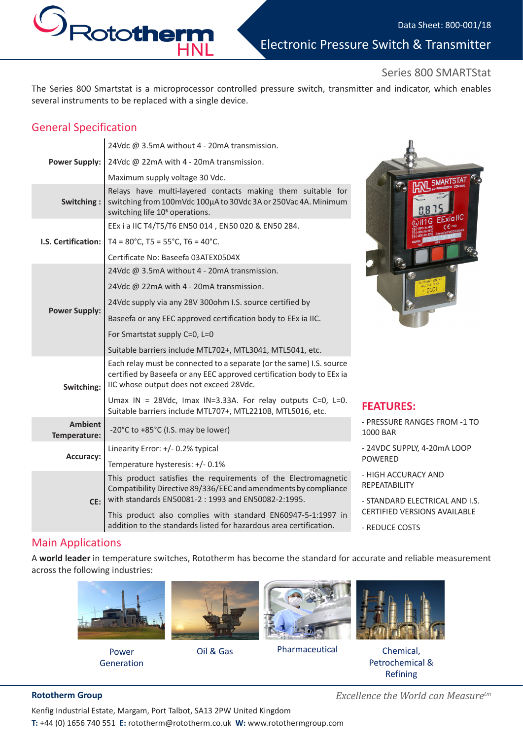Electronic Pressure Switch & Transmitter

### Series 800 SMARTStat

The Series 800 Smartstat is a microprocessor controlled pressure switch, transmitter and indicator, which enables several instruments to be replaced with a single device.

## General Specification

 $\mathcal{O}_{\text{Rot} }$ 

|                                | 24Vdc @ 3.5mA without 4 - 20mA transmission.                                                                                                                                             |                     |
|--------------------------------|------------------------------------------------------------------------------------------------------------------------------------------------------------------------------------------|---------------------|
| <b>Power Supply:</b>           | 24Vdc @ 22mA with 4 - 20mA transmission.                                                                                                                                                 |                     |
|                                | Maximum supply voltage 30 Vdc.                                                                                                                                                           |                     |
| Switching:                     | Relays have multi-layered contacts making them suitable for<br>switching from 100mVdc 100µA to 30Vdc 3A or 250Vac 4A. Minimum<br>switching life 10 <sup>5</sup> operations.              |                     |
| <b>I.S. Certification:</b>     | EEx i a IIC T4/T5/T6 EN50 014, EN50 020 & EN50 284.                                                                                                                                      |                     |
|                                | $T4 = 80^{\circ}$ C, T5 = 55 $^{\circ}$ C, T6 = 40 $^{\circ}$ C.                                                                                                                         |                     |
|                                | Certificate No: Baseefa 03ATEX0504X                                                                                                                                                      |                     |
| <b>Power Supply:</b>           | 24Vdc @ 3.5mA without 4 - 20mA transmission.                                                                                                                                             |                     |
|                                | 24Vdc @ 22mA with 4 - 20mA transmission.                                                                                                                                                 |                     |
|                                | 24Vdc supply via any 28V 300ohm I.S. source certified by                                                                                                                                 |                     |
|                                | Baseefa or any EEC approved certification body to EEx ia IIC.                                                                                                                            |                     |
|                                | For Smartstat supply C=0, L=0                                                                                                                                                            |                     |
|                                | Suitable barriers include MTL702+, MTL3041, MTL5041, etc.                                                                                                                                |                     |
| Switching:                     | Each relay must be connected to a separate (or the same) I.S. source<br>certified by Baseefa or any EEC approved certification body to EEx ia<br>IIC whose output does not exceed 28Vdc. |                     |
|                                | Umax IN = 28Vdc, Imax IN=3.33A. For relay outputs $C=0$ , L=0.<br>Suitable barriers include MTL707+, MTL2210B, MTL5016, etc.                                                             | FE,                 |
| <b>Ambient</b><br>Temperature: | -20°C to +85°C (I.S. may be lower)                                                                                                                                                       | $-$ PR<br>100       |
| Accuracy:                      | Linearity Error: +/- 0.2% typical                                                                                                                                                        | $-24$               |
|                                | Temperature hysteresis: +/- 0.1%                                                                                                                                                         | <b>POV</b>          |
| CE:                            | This product satisfies the requirements of the Electromagnetic<br>Compatibility Directive 89/336/EEC and amendments by compliance                                                        | - HI<br><b>REP</b>  |
|                                | with standards EN50081-2 : 1993 and EN50082-2:1995.                                                                                                                                      | $-ST$<br><b>CER</b> |
|                                | This product also complies with standard EN60947-5-1:1997 in<br>addition to the standards listed for hazardous area certification.                                                       | $-RE$               |

HNL



### **FEATURES:**

- RESSURE RANGES FROM -1 TO 00 BAR
- 24VDC SUPPLY, 4-20mA LOOP WERED
- GH ACCURACY AND **EATABILITY**
- ANDARD ELECTRICAL AND I.S. **TIFIED VERSIONS AVAILABLE**
- REDUCE COSTS

### Main Applications

A **world leader** in temperature switches, Rototherm has become the standard for accurate and reliable measurement across the following industries:



Power Generation



Oil & Gas



Pharmaceutical Chemical,



Petrochemical & Refining

**Rototherm Group** *Excellence the World can Measuretm*

Kenfig Industrial Estate, Margam, Port Talbot, SA13 2PW United Kingdom **T:** +44 (0) 1656 740 551 **E:** rototherm@rototherm.co.uk **W:** www.rotothermgroup.com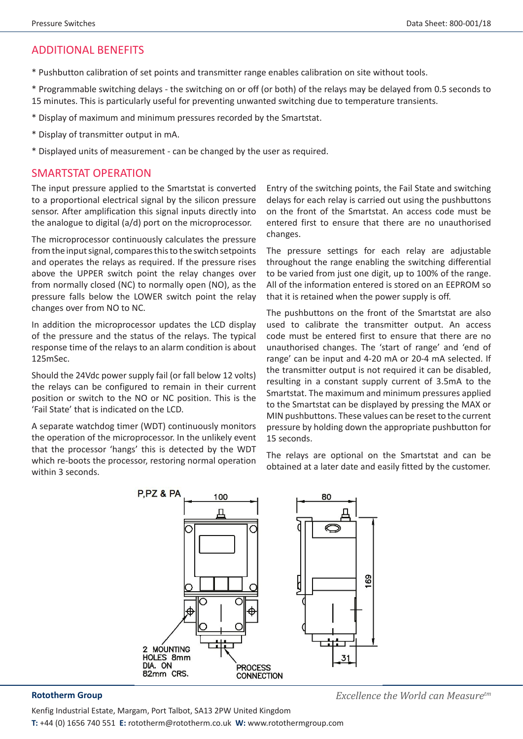## ADDITIONAL BENEFITS

\* Pushbutton calibration of set points and transmitter range enables calibration on site without tools.

\* Programmable switching delays - the switching on or off (or both) of the relays may be delayed from 0.5 seconds to 15 minutes. This is particularly useful for preventing unwanted switching due to temperature transients.

- \* Display of maximum and minimum pressures recorded by the Smartstat.
- \* Display of transmitter output in mA.
- \* Displayed units of measurement can be changed by the user as required.

### SMARTSTAT OPERATION

The input pressure applied to the Smartstat is converted to a proportional electrical signal by the silicon pressure sensor. After amplification this signal inputs directly into the analogue to digital (a/d) port on the microprocessor.

The microprocessor continuously calculates the pressure from the input signal, compares this to the switch setpoints and operates the relays as required. If the pressure rises above the UPPER switch point the relay changes over from normally closed (NC) to normally open (NO), as the pressure falls below the LOWER switch point the relay changes over from NO to NC.

In addition the microprocessor updates the LCD display of the pressure and the status of the relays. The typical response time of the relays to an alarm condition is about 125mSec.

Should the 24Vdc power supply fail (or fall below 12 volts) the relays can be configured to remain in their current position or switch to the NO or NC position. This is the 'Fail State' that is indicated on the LCD.

A separate watchdog timer (WDT) continuously monitors the operation of the microprocessor. In the unlikely event that the processor 'hangs' this is detected by the WDT which re-boots the processor, restoring normal operation within 3 seconds.

Entry of the switching points, the Fail State and switching delays for each relay is carried out using the pushbuttons on the front of the Smartstat. An access code must be entered first to ensure that there are no unauthorised changes.

The pressure settings for each relay are adjustable throughout the range enabling the switching differential to be varied from just one digit, up to 100% of the range. All of the information entered is stored on an EEPROM so that it is retained when the power supply is off.

The pushbuttons on the front of the Smartstat are also used to calibrate the transmitter output. An access code must be entered first to ensure that there are no unauthorised changes. The 'start of range' and 'end of range' can be input and 4-20 mA or 20-4 mA selected. If the transmitter output is not required it can be disabled, resulting in a constant supply current of 3.5mA to the Smartstat. The maximum and minimum pressures applied to the Smartstat can be displayed by pressing the MAX or MIN pushbuttons. These values can be reset to the current pressure by holding down the appropriate pushbutton for 15 seconds.

The relays are optional on the Smartstat and can be obtained at a later date and easily fitted by the customer.



**Rototherm Group** *Excellence the World can Measuretm*

Kenfig Industrial Estate, Margam, Port Talbot, SA13 2PW United Kingdom **T:** +44 (0) 1656 740 551 **E:** rototherm@rototherm.co.uk **W:** www.rotothermgroup.com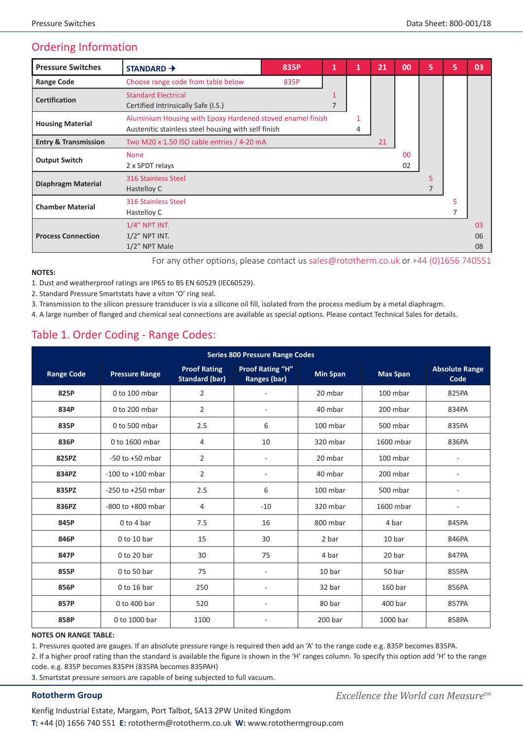# Ordering Information

| <b>Pressure Switches</b>        | $STANDARD +$                                                                                                                | 835P | 1 | 1 | 21 | 00                   | 5 | 5 | 03             |
|---------------------------------|-----------------------------------------------------------------------------------------------------------------------------|------|---|---|----|----------------------|---|---|----------------|
| <b>Range Code</b>               | Choose range code from table below                                                                                          | 835P |   |   |    |                      |   |   |                |
| <b>Certification</b>            | <b>Standard Electrical</b><br>Certified Intrinsically Safe (I.S.)                                                           |      |   |   |    |                      |   |   |                |
| <b>Housing Material</b>         | Aluminium Housing with Epoxy Hardened stoved enamel finish<br>1<br>Austenitic stainless steel housing with self finish<br>4 |      |   |   |    |                      |   |   |                |
| <b>Entry &amp; Transmission</b> | Two M20 x 1.50 ISO cable entries / 4-20 mA<br>21                                                                            |      |   |   |    |                      |   |   |                |
| <b>Output Switch</b>            | <b>None</b><br>2 x SPDT relays                                                                                              |      |   |   |    | 0 <sup>0</sup><br>02 |   |   |                |
| <b>Diaphragm Material</b>       | 316 Stainless Steel<br>Hastelloy C                                                                                          |      |   |   |    |                      | 5 |   |                |
| <b>Chamber Material</b>         | 316 Stainless Steel<br>Hastelloy C                                                                                          |      |   |   |    |                      |   | 5 |                |
| <b>Process Connection</b>       | $1/4$ " NPT INT.<br>$1/2$ " NPT INT.<br>$1/2$ " NPT Male                                                                    |      |   |   |    |                      |   |   | 03<br>06<br>08 |

For any other options, please contact us sales@rototherm.co.uk or +44 (0)1656 740551

**NOTES:**

1. Dust and weatherproof ratings are IP65 to BS EN 60529 (IEC60529).

2. Standard Pressure Smartstats have a viton 'O' ring seal.

3. Transmission to the silicon pressure transducer is via a silicone oil fill, isolated from the process medium by a metal diaphragm.

4. A large number of flanged and chemical seal connections are available as special options. Please contact Technical Sales for details.

## Table 1. Order Coding - Range Codes:

| <b>Series 800 Pressure Range Codes</b> |                       |                                              |                                         |                 |                 |                               |  |  |  |
|----------------------------------------|-----------------------|----------------------------------------------|-----------------------------------------|-----------------|-----------------|-------------------------------|--|--|--|
| <b>Range Code</b>                      | <b>Pressure Range</b> | <b>Proof Rating</b><br><b>Standard (bar)</b> | <b>Proof Rating "H"</b><br>Ranges (bar) | <b>Min Span</b> | <b>Max Span</b> | <b>Absolute Range</b><br>Code |  |  |  |
| 825P                                   | $0$ to 100 mbar       | $\overline{2}$                               | ÷,                                      | 20 mbar         | 100 mbar        | 825PA                         |  |  |  |
| 834P                                   | 0 to 200 mbar         | $\overline{2}$                               | $\overline{\phantom{a}}$                | 40 mbar         | 200 mbar        | 834PA                         |  |  |  |
| 835P                                   | 0 to 500 mbar         | 2.5                                          | 6                                       | 100 mbar        | 500 mbar        | 835PA                         |  |  |  |
| 836P                                   | 0 to 1600 mbar        | 4                                            | 10                                      | 320 mbar        | 1600 mbar       | 836PA                         |  |  |  |
| 825PZ                                  | $-50$ to $+50$ mbar   | 2                                            | $\overline{a}$                          | 20 mbar         | 100 mbar        |                               |  |  |  |
| 834PZ                                  | $-100$ to $+100$ mbar | $\overline{2}$                               | $\overline{\phantom{a}}$                | 40 mbar         | 200 mbar        |                               |  |  |  |
| 835PZ                                  | $-250$ to $+250$ mbar | 2.5                                          | 6                                       | 100 mbar        | 500 mbar        |                               |  |  |  |
| 836PZ                                  | -800 to +800 mbar     | 4                                            | $-10$                                   | 320 mbar        | 1600 mbar       | $\qquad \qquad -$             |  |  |  |
| 845P                                   | 0 to 4 bar            | 7.5                                          | 16                                      | 800 mbar        | 4 bar           | 845PA                         |  |  |  |
| 846P                                   | $0$ to 10 bar         | 15                                           | 30                                      | 2 bar           | 10 bar          | 846PA                         |  |  |  |
| 847P                                   | $0$ to 20 bar         | 30                                           | 75                                      | 4 bar           | 20 bar          | 847PA                         |  |  |  |
| 855P                                   | 0 to 50 bar           | 75                                           | $\sim$                                  | 10 bar          | 50 bar          | 855PA                         |  |  |  |
| 856P                                   | 0 to 16 bar           | 250                                          | $\overline{a}$                          | 32 bar          | 160 bar         | 856PA                         |  |  |  |
| 857P                                   | 0 to 400 bar          | 520                                          | $\overline{\phantom{a}}$                | 80 bar          | 400 bar         | 857PA                         |  |  |  |
| 858P                                   | 0 to 1000 bar         | 1100                                         | $\overline{a}$                          | 200 bar         | 1000 bar        | 858PA                         |  |  |  |

### **NOTES ON RANGE TABLE:**

1. Pressures quoted are gauges. If an absolute pressure range is required then add an 'A' to the range code e.g. 835P becomes 835PA.

2. If a higher proof rating than the standard is available the figure is shown in the 'H' ranges column. To specify this option add 'H' to the range code. e.g. 835P becomes 835PH (835PA becomes 835PAH)

3. Smartstat pressure sensors are capable of being subjected to full vacuum.

Kenfig Industrial Estate, Margam, Port Talbot, SA13 2PW United Kingdom **T:** +44 (0) 1656 740 551 **E:** rototherm@rototherm.co.uk **W:** www.rotothermgroup.com